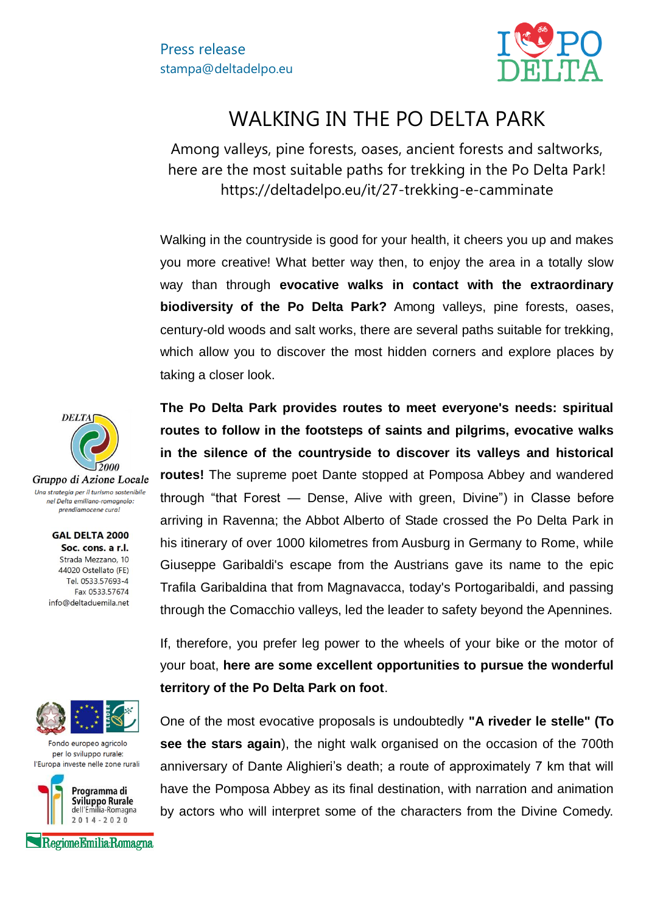

## WALKING IN THE PO DELTA PARK

Among valleys, pine forests, oases, ancient forests and saltworks, here are the most suitable paths for trekking in the Po Delta Park! https://deltadelpo.eu/it/27-trekking-e-camminate

Walking in the countryside is good for your health, it cheers you up and makes you more creative! What better way then, to enjoy the area in a totally slow way than through **evocative walks in contact with the extraordinary biodiversity of the Po Delta Park?** Among valleys, pine forests, oases, century-old woods and salt works, there are several paths suitable for trekking, which allow you to discover the most hidden corners and explore places by taking a closer look.

**The Po Delta Park provides routes to meet everyone's needs: spiritual routes to follow in the footsteps of saints and pilgrims, evocative walks in the silence of the countryside to discover its valleys and historical routes!** The supreme poet Dante stopped at Pomposa Abbey and wandered through "that Forest — Dense, Alive with green, Divine") in Classe before arriving in Ravenna; the Abbot Alberto of Stade crossed the Po Delta Park in his itinerary of over 1000 kilometres from Ausburg in Germany to Rome, while Giuseppe Garibaldi's escape from the Austrians gave its name to the epic Trafila Garibaldina that from Magnavacca, today's Portogaribaldi, and passing through the Comacchio valleys, led the leader to safety beyond the Apennines.

If, therefore, you prefer leg power to the wheels of your bike or the motor of your boat, **here are some excellent opportunities to pursue the wonderful territory of the Po Delta Park on foot**.

One of the most evocative proposals is undoubtedly **"A riveder le stelle" (To see the stars again**), the night walk organised on the occasion of the 700th anniversary of Dante Alighieri's death; a route of approximately 7 km that will have the Pomposa Abbey as its final destination, with narration and animation by actors who will interpret some of the characters from the Divine Comedy.



Gruppo di Azione Locale Una strategia per il turismo sostenibile nel Delta emiliano-romagnolo: prendiamocene cura!

> **GAL DELTA 2000** Soc. cons. a r.l. Strada Mezzano, 10 44020 Ostellato (FE) Tel. 0533.57693-4 Fax 0533.57674 info@deltaduemila.net



Fondo europeo agricolo per lo sviluppo rurale: l'Europa investe nelle zone rurali